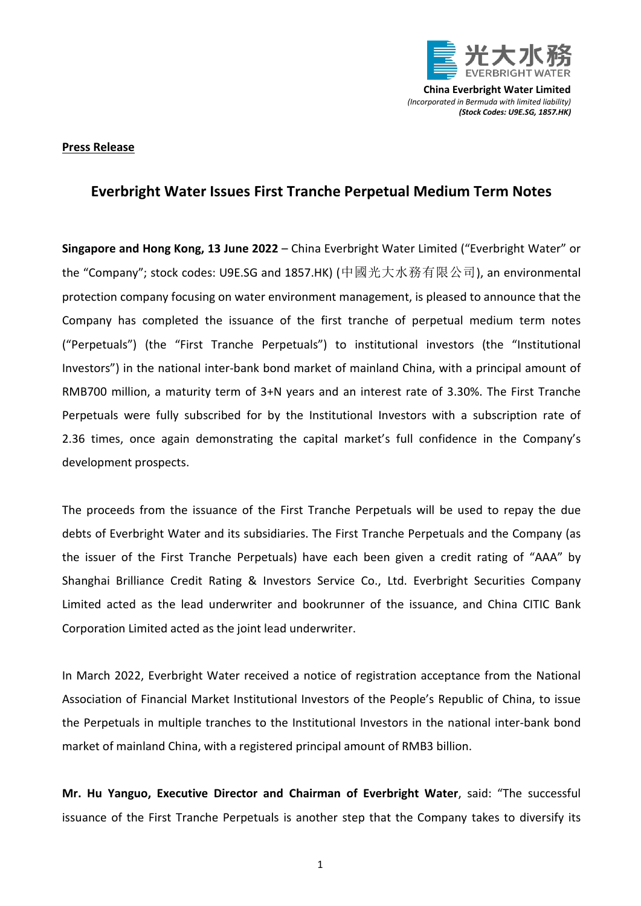

**China Everbright Water Limited** *(Incorporated in Bermuda with limited liability) (Stock Codes: U9E.SG, 1857.HK)*

## **Press Release**

## **Everbright Water Issues First Tranche Perpetual Medium Term Notes**

**Singapore and Hong Kong, 13 June 2022** – China Everbright Water Limited ("Everbright Water" or the "Company"; stock codes: U9E.SG and 1857.HK) (中國光大水務有限公司), an environmental protection company focusing on water environment management, is pleased to announce that the Company has completed the issuance of the first tranche of perpetual medium term notes ("Perpetuals") (the "First Tranche Perpetuals") to institutional investors (the "Institutional Investors") in the national inter-bank bond market of mainland China, with a principal amount of RMB700 million, a maturity term of 3+N years and an interest rate of 3.30%. The First Tranche Perpetuals were fully subscribed for by the Institutional Investors with a subscription rate of 2.36 times, once again demonstrating the capital market's full confidence in the Company's development prospects.

The proceeds from the issuance of the First Tranche Perpetuals will be used to repay the due debts of Everbright Water and its subsidiaries. The First Tranche Perpetuals and the Company (as the issuer of the First Tranche Perpetuals) have each been given a credit rating of "AAA" by Shanghai Brilliance Credit Rating & Investors Service Co., Ltd. Everbright Securities Company Limited acted as the lead underwriter and bookrunner of the issuance, and China CITIC Bank Corporation Limited acted as the joint lead underwriter.

In March 2022, Everbright Water received a notice of registration acceptance from the National Association of Financial Market Institutional Investors of the People's Republic of China, to issue the Perpetuals in multiple tranches to the Institutional Investors in the national inter-bank bond market of mainland China, with a registered principal amount of RMB3 billion.

**Mr. Hu Yanguo, Executive Director and Chairman of Everbright Water**, said: "The successful issuance of the First Tranche Perpetuals is another step that the Company takes to diversify its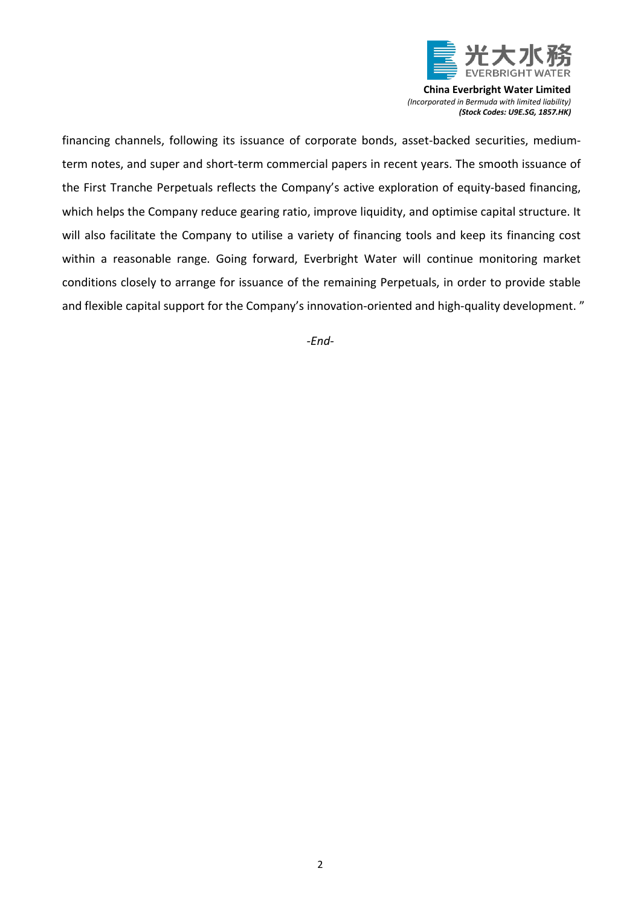

**China Everbright Water Limited** *(Incorporated in Bermuda with limited liability) (Stock Codes: U9E.SG, 1857.HK)*

financing channels, following its issuance of corporate bonds, asset-backed securities, mediumterm notes, and super and short-term commercial papers in recent years. The smooth issuance of the First Tranche Perpetuals reflects the Company's active exploration of equity-based financing, which helps the Company reduce gearing ratio, improve liquidity, and optimise capital structure. It will also facilitate the Company to utilise a variety of financing tools and keep its financing cost within a reasonable range. Going forward, Everbright Water will continue monitoring market conditions closely to arrange for issuance of the remaining Perpetuals, in order to provide stable and flexible capital support for the Company's innovation-oriented and high-quality development. "

*-End-*